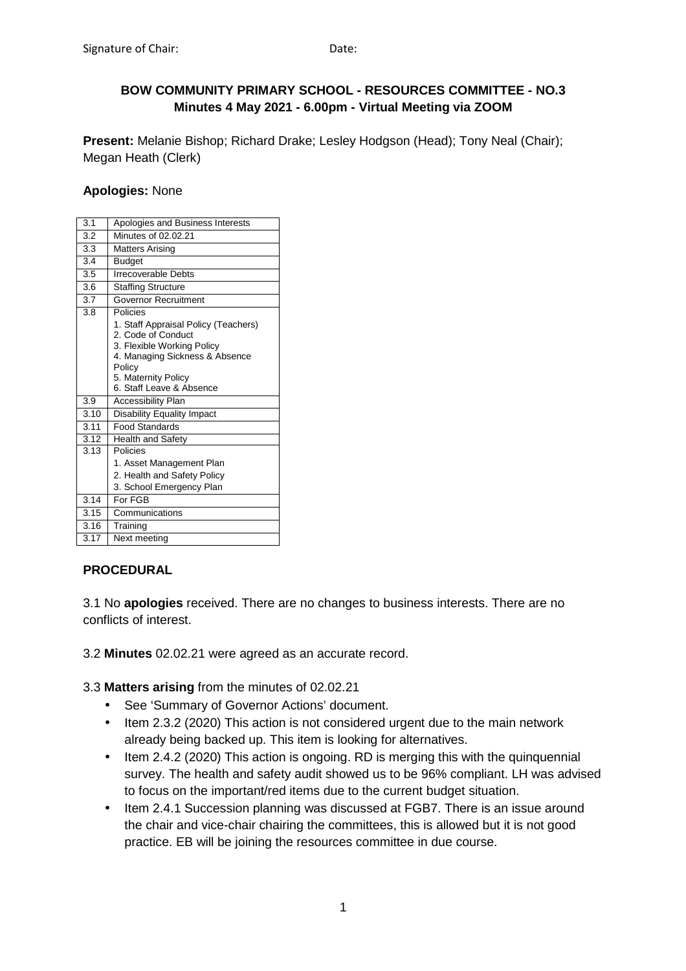# **BOW COMMUNITY PRIMARY SCHOOL - RESOURCES COMMITTEE - NO.3 Minutes 4 May 2021 - 6.00pm - Virtual Meeting via ZOOM**

**Present:** Melanie Bishop; Richard Drake; Lesley Hodgson (Head); Tony Neal (Chair); Megan Heath (Clerk)

## **Apologies:** None

| 3.1  | Apologies and Business Interests                                                                                                                                                                    |
|------|-----------------------------------------------------------------------------------------------------------------------------------------------------------------------------------------------------|
| 3.2  | Minutes of 02.02.21                                                                                                                                                                                 |
| 3.3  | Matters Arising                                                                                                                                                                                     |
| 3.4  | <b>Budget</b>                                                                                                                                                                                       |
| 3.5  | <b>Irrecoverable Debts</b>                                                                                                                                                                          |
| 3.6  | <b>Staffing Structure</b>                                                                                                                                                                           |
| 3.7  | Governor Recruitment                                                                                                                                                                                |
| 3.8  | Policies<br>1. Staff Appraisal Policy (Teachers)<br>2. Code of Conduct<br>3. Flexible Working Policy<br>4. Managing Sickness & Absence<br>Policy<br>5. Maternity Policy<br>6. Staff Leave & Absence |
| 3.9  | <b>Accessibility Plan</b>                                                                                                                                                                           |
| 3.10 | Disability Equality Impact                                                                                                                                                                          |
| 3.11 | <b>Food Standards</b>                                                                                                                                                                               |
| 3.12 | <b>Health and Safety</b>                                                                                                                                                                            |
| 3.13 | Policies<br>1. Asset Management Plan<br>2. Health and Safety Policy<br>3. School Emergency Plan                                                                                                     |
| 3.14 | For FGB                                                                                                                                                                                             |
| 3.15 | Communications                                                                                                                                                                                      |
| 3.16 | Training                                                                                                                                                                                            |
| 3.17 | Next meeting                                                                                                                                                                                        |

# **PROCEDURAL**

3.1 No **apologies** received. There are no changes to business interests. There are no conflicts of interest.

3.2 **Minutes** 02.02.21 were agreed as an accurate record.

3.3 **Matters arising** from the minutes of 02.02.21

- See 'Summary of Governor Actions' document.
- Item 2.3.2 (2020) This action is not considered urgent due to the main network already being backed up. This item is looking for alternatives.
- Item 2.4.2 (2020) This action is ongoing. RD is merging this with the quinquennial survey. The health and safety audit showed us to be 96% compliant. LH was advised to focus on the important/red items due to the current budget situation.
- Item 2.4.1 Succession planning was discussed at FGB7. There is an issue around the chair and vice-chair chairing the committees, this is allowed but it is not good practice. EB will be joining the resources committee in due course.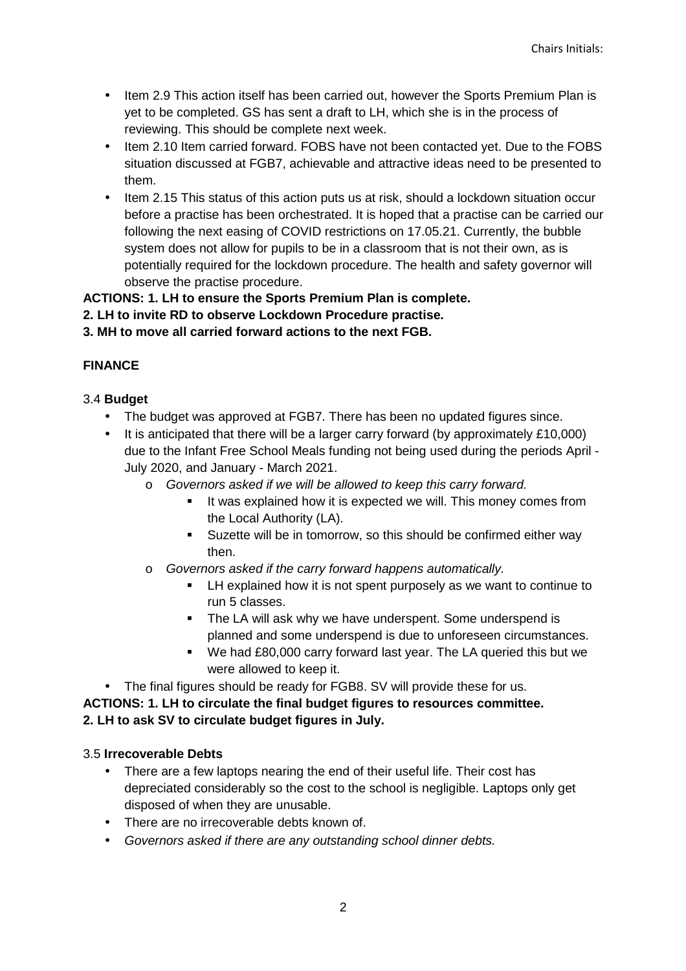- Item 2.9 This action itself has been carried out, however the Sports Premium Plan is yet to be completed. GS has sent a draft to LH, which she is in the process of reviewing. This should be complete next week.
- Item 2.10 Item carried forward. FOBS have not been contacted yet. Due to the FOBS situation discussed at FGB7, achievable and attractive ideas need to be presented to them.
- Item 2.15 This status of this action puts us at risk, should a lockdown situation occur before a practise has been orchestrated. It is hoped that a practise can be carried our following the next easing of COVID restrictions on 17.05.21. Currently, the bubble system does not allow for pupils to be in a classroom that is not their own, as is potentially required for the lockdown procedure. The health and safety governor will observe the practise procedure.

# **ACTIONS: 1. LH to ensure the Sports Premium Plan is complete.**

**2. LH to invite RD to observe Lockdown Procedure practise.** 

**3. MH to move all carried forward actions to the next FGB.** 

# **FINANCE**

# 3.4 **Budget**

- The budget was approved at FGB7. There has been no updated figures since.
- It is anticipated that there will be a larger carry forward (by approximately £10,000) due to the Infant Free School Meals funding not being used during the periods April - July 2020, and January - March 2021.
	- o Governors asked if we will be allowed to keep this carry forward.
		- It was explained how it is expected we will. This money comes from the Local Authority (LA).
		- **Suzette will be in tomorrow, so this should be confirmed either way** then.
	- o Governors asked if the carry forward happens automatically.
		- **EXECT** LH explained how it is not spent purposely as we want to continue to run 5 classes.
		- The LA will ask why we have underspent. Some underspend is planned and some underspend is due to unforeseen circumstances.
		- We had £80,000 carry forward last year. The LA queried this but we were allowed to keep it.
- The final figures should be ready for FGB8. SV will provide these for us.

**ACTIONS: 1. LH to circulate the final budget figures to resources committee. 2. LH to ask SV to circulate budget figures in July.** 

# 3.5 **Irrecoverable Debts**

- There are a few laptops nearing the end of their useful life. Their cost has depreciated considerably so the cost to the school is negligible. Laptops only get disposed of when they are unusable.
- There are no irrecoverable debts known of.
- Governors asked if there are any outstanding school dinner debts.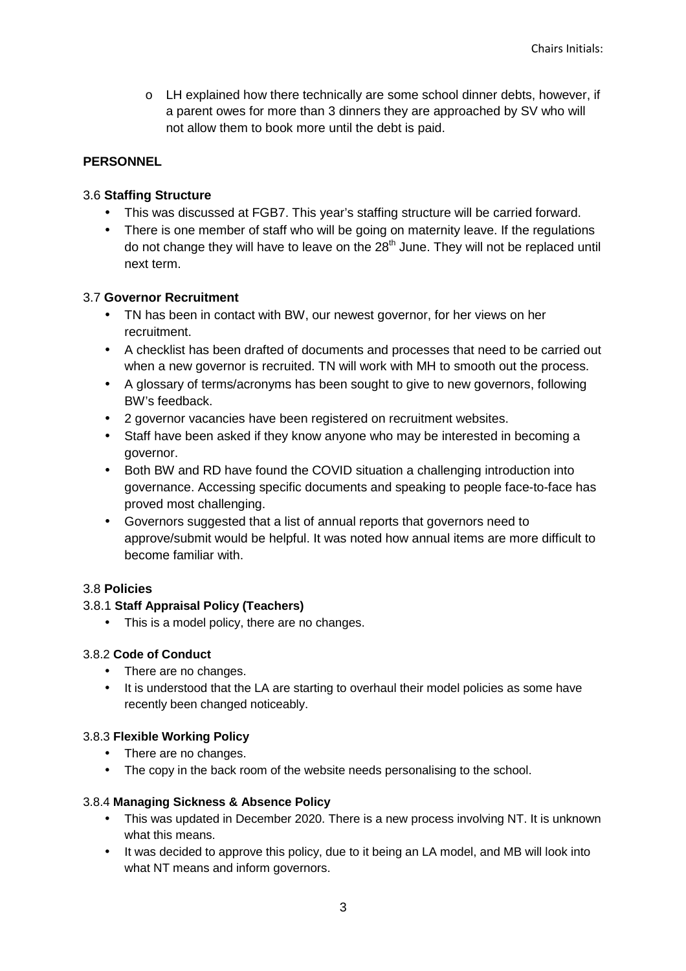o LH explained how there technically are some school dinner debts, however, if a parent owes for more than 3 dinners they are approached by SV who will not allow them to book more until the debt is paid.

## **PERSONNEL**

## 3.6 **Staffing Structure**

- This was discussed at FGB7. This year's staffing structure will be carried forward.
- There is one member of staff who will be going on maternity leave. If the regulations do not change they will have to leave on the 28<sup>th</sup> June. They will not be replaced until next term.

## 3.7 **Governor Recruitment**

- TN has been in contact with BW, our newest governor, for her views on her recruitment.
- A checklist has been drafted of documents and processes that need to be carried out when a new governor is recruited. TN will work with MH to smooth out the process.
- A glossary of terms/acronyms has been sought to give to new governors, following BW's feedback.
- 2 governor vacancies have been registered on recruitment websites.
- Staff have been asked if they know anyone who may be interested in becoming a governor.
- Both BW and RD have found the COVID situation a challenging introduction into governance. Accessing specific documents and speaking to people face-to-face has proved most challenging.
- Governors suggested that a list of annual reports that governors need to approve/submit would be helpful. It was noted how annual items are more difficult to become familiar with.

## 3.8 **Policies**

## 3.8.1 **Staff Appraisal Policy (Teachers)**

• This is a model policy, there are no changes.

## 3.8.2 **Code of Conduct**

- There are no changes.
- It is understood that the LA are starting to overhaul their model policies as some have recently been changed noticeably.

## 3.8.3 **Flexible Working Policy**

- There are no changes.
- The copy in the back room of the website needs personalising to the school.

## 3.8.4 **Managing Sickness & Absence Policy**

- This was updated in December 2020. There is a new process involving NT. It is unknown what this means.
- It was decided to approve this policy, due to it being an LA model, and MB will look into what NT means and inform governors.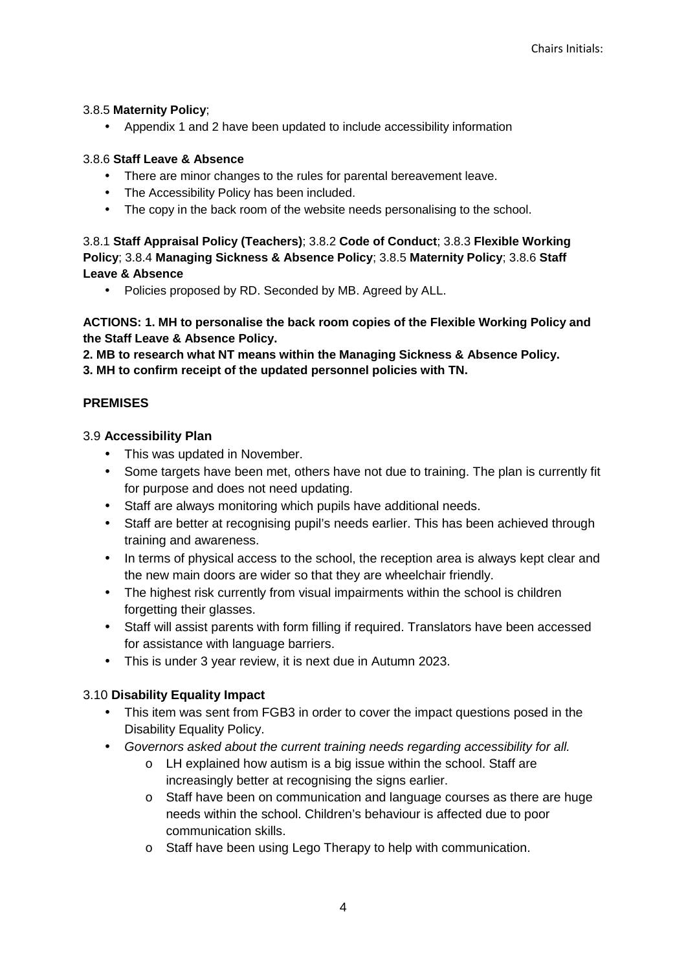## 3.8.5 **Maternity Policy**;

• Appendix 1 and 2 have been updated to include accessibility information

## 3.8.6 **Staff Leave & Absence**

- There are minor changes to the rules for parental bereavement leave.
- The Accessibility Policy has been included.
- The copy in the back room of the website needs personalising to the school.

3.8.1 **Staff Appraisal Policy (Teachers)**; 3.8.2 **Code of Conduct**; 3.8.3 **Flexible Working Policy**; 3.8.4 **Managing Sickness & Absence Policy**; 3.8.5 **Maternity Policy**; 3.8.6 **Staff Leave & Absence**

• Policies proposed by RD. Seconded by MB. Agreed by ALL.

**ACTIONS: 1. MH to personalise the back room copies of the Flexible Working Policy and the Staff Leave & Absence Policy.** 

**2. MB to research what NT means within the Managing Sickness & Absence Policy. 3. MH to confirm receipt of the updated personnel policies with TN.** 

## **PREMISES**

## 3.9 **Accessibility Plan**

- This was updated in November.
- Some targets have been met, others have not due to training. The plan is currently fit for purpose and does not need updating.
- Staff are always monitoring which pupils have additional needs.
- Staff are better at recognising pupil's needs earlier. This has been achieved through training and awareness.
- In terms of physical access to the school, the reception area is always kept clear and the new main doors are wider so that they are wheelchair friendly.
- The highest risk currently from visual impairments within the school is children forgetting their glasses.
- Staff will assist parents with form filling if required. Translators have been accessed for assistance with language barriers.
- This is under 3 year review, it is next due in Autumn 2023.

# 3.10 **Disability Equality Impact**

- This item was sent from FGB3 in order to cover the impact questions posed in the Disability Equality Policy.
- Governors asked about the current training needs regarding accessibility for all.
	- o LH explained how autism is a big issue within the school. Staff are increasingly better at recognising the signs earlier.
	- o Staff have been on communication and language courses as there are huge needs within the school. Children's behaviour is affected due to poor communication skills.
	- o Staff have been using Lego Therapy to help with communication.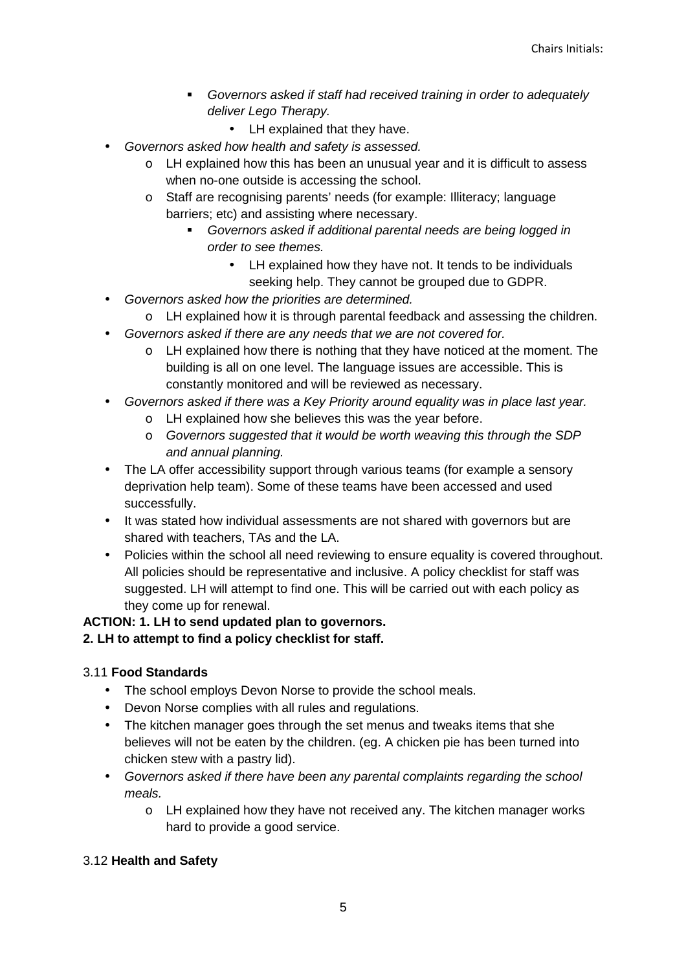- Governors asked if staff had received training in order to adequately deliver Lego Therapy.
	- LH explained that they have.
- Governors asked how health and safety is assessed.
	- o LH explained how this has been an unusual year and it is difficult to assess when no-one outside is accessing the school.
	- o Staff are recognising parents' needs (for example: Illiteracy; language barriers; etc) and assisting where necessary.
		- Governors asked if additional parental needs are being logged in order to see themes.
			- LH explained how they have not. It tends to be individuals seeking help. They cannot be grouped due to GDPR.
- Governors asked how the priorities are determined.
	- o LH explained how it is through parental feedback and assessing the children.
- Governors asked if there are any needs that we are not covered for.
	- $\circ$  LH explained how there is nothing that they have noticed at the moment. The building is all on one level. The language issues are accessible. This is constantly monitored and will be reviewed as necessary.
- Governors asked if there was a Key Priority around equality was in place last year.
	- o LH explained how she believes this was the year before.
	- o Governors suggested that it would be worth weaving this through the SDP and annual planning.
- The LA offer accessibility support through various teams (for example a sensory deprivation help team). Some of these teams have been accessed and used successfully.
- It was stated how individual assessments are not shared with governors but are shared with teachers, TAs and the LA.
- Policies within the school all need reviewing to ensure equality is covered throughout. All policies should be representative and inclusive. A policy checklist for staff was suggested. LH will attempt to find one. This will be carried out with each policy as they come up for renewal.

# **ACTION: 1. LH to send updated plan to governors.**

# **2. LH to attempt to find a policy checklist for staff.**

# 3.11 **Food Standards**

- The school employs Devon Norse to provide the school meals.
- Devon Norse complies with all rules and regulations.
- The kitchen manager goes through the set menus and tweaks items that she believes will not be eaten by the children. (eg. A chicken pie has been turned into chicken stew with a pastry lid).
- Governors asked if there have been any parental complaints regarding the school meals.
	- o LH explained how they have not received any. The kitchen manager works hard to provide a good service.

# 3.12 **Health and Safety**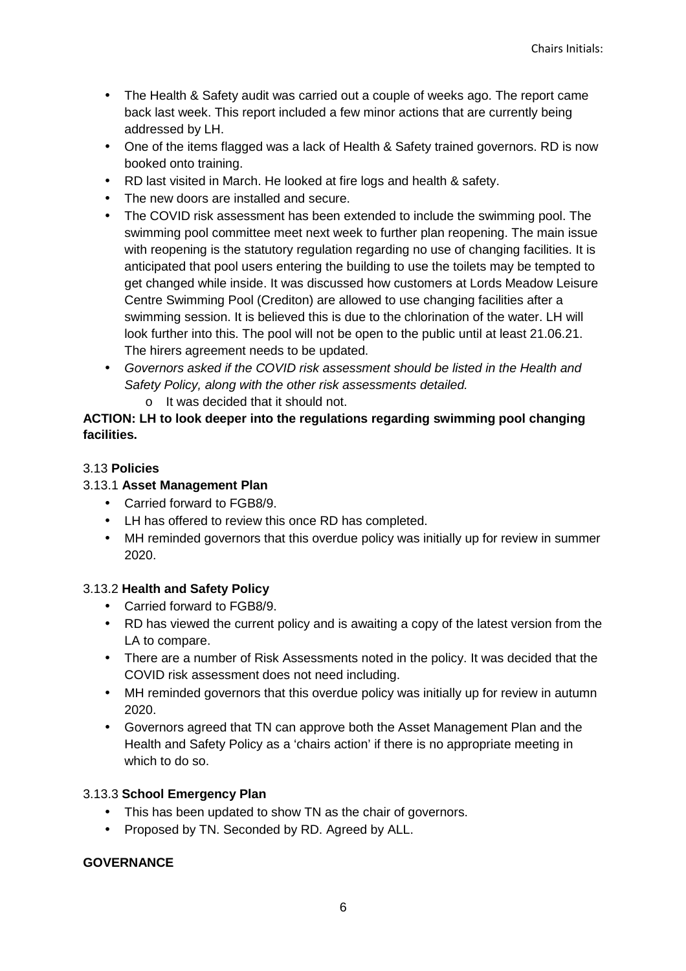- The Health & Safety audit was carried out a couple of weeks ago. The report came back last week. This report included a few minor actions that are currently being addressed by LH.
- One of the items flagged was a lack of Health & Safety trained governors. RD is now booked onto training.
- RD last visited in March. He looked at fire logs and health & safety.
- The new doors are installed and secure.
- The COVID risk assessment has been extended to include the swimming pool. The swimming pool committee meet next week to further plan reopening. The main issue with reopening is the statutory regulation regarding no use of changing facilities. It is anticipated that pool users entering the building to use the toilets may be tempted to get changed while inside. It was discussed how customers at Lords Meadow Leisure Centre Swimming Pool (Crediton) are allowed to use changing facilities after a swimming session. It is believed this is due to the chlorination of the water. LH will look further into this. The pool will not be open to the public until at least 21.06.21. The hirers agreement needs to be updated.
- Governors asked if the COVID risk assessment should be listed in the Health and Safety Policy, along with the other risk assessments detailed.
	- o It was decided that it should not.

## **ACTION: LH to look deeper into the regulations regarding swimming pool changing facilities.**

## 3.13 **Policies**

## 3.13.1 **Asset Management Plan**

- Carried forward to FGB8/9.
- LH has offered to review this once RD has completed.
- MH reminded governors that this overdue policy was initially up for review in summer 2020.

## 3.13.2 **Health and Safety Policy**

- Carried forward to FGB8/9.
- RD has viewed the current policy and is awaiting a copy of the latest version from the LA to compare.
- There are a number of Risk Assessments noted in the policy. It was decided that the COVID risk assessment does not need including.
- MH reminded governors that this overdue policy was initially up for review in autumn 2020.
- Governors agreed that TN can approve both the Asset Management Plan and the Health and Safety Policy as a 'chairs action' if there is no appropriate meeting in which to do so.

## 3.13.3 **School Emergency Plan**

- This has been updated to show TN as the chair of governors.
- Proposed by TN. Seconded by RD. Agreed by ALL.

## **GOVERNANCE**